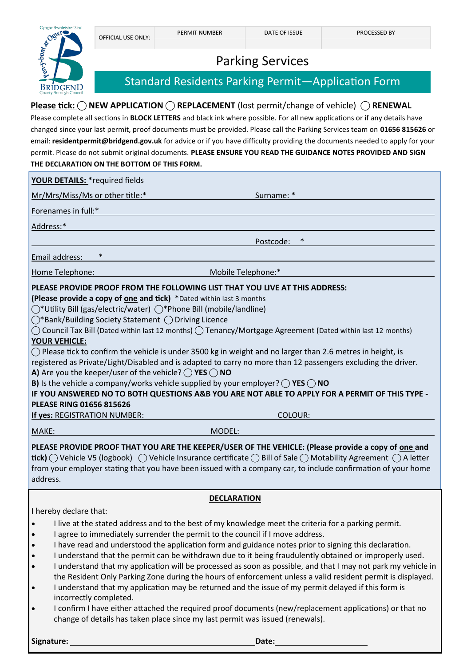

## Parking Services

## Standard Residents Parking Permit—Application Form

## **Please tick: ◯ NEW APPLICATION ◯ REPLACEMENT** (lost permit/change of vehicle) ◯ RENEWAL

Please complete all sections in **BLOCK LETTERS** and black ink where possible. For all new applications or if any details have changed since your last permit, proof documents must be provided. Please call the Parking Services team on **01656 815626** or email: **residentpermit@bridgend.gov.uk** for advice or if you have difficulty providing the documents needed to apply for your permit. Please do not submit original documents. **PLEASE ENSURE YOU READ THE GUIDANCE NOTES PROVIDED AND SIGN THE DECLARATION ON THE BOTTOM OF THIS FORM.**

| YOUR DETAILS: * required fields                                                                                                                                                                                                                                                                                                                                                                  |  |
|--------------------------------------------------------------------------------------------------------------------------------------------------------------------------------------------------------------------------------------------------------------------------------------------------------------------------------------------------------------------------------------------------|--|
| Mr/Mrs/Miss/Ms or other title:*<br>Surname: *                                                                                                                                                                                                                                                                                                                                                    |  |
| Forenames in full:*                                                                                                                                                                                                                                                                                                                                                                              |  |
| Address:*                                                                                                                                                                                                                                                                                                                                                                                        |  |
| Postcode:                                                                                                                                                                                                                                                                                                                                                                                        |  |
| $\ast$<br>Email address:                                                                                                                                                                                                                                                                                                                                                                         |  |
| Mobile Telephone:*<br>Home Telephone:                                                                                                                                                                                                                                                                                                                                                            |  |
| PLEASE PROVIDE PROOF FROM THE FOLLOWING LIST THAT YOU LIVE AT THIS ADDRESS:                                                                                                                                                                                                                                                                                                                      |  |
| (Please provide a copy of one and tick) *Dated within last 3 months                                                                                                                                                                                                                                                                                                                              |  |
| ◯*Utility Bill (gas/electric/water) ◯*Phone Bill (mobile/landline)                                                                                                                                                                                                                                                                                                                               |  |
| $\bigcirc$ *Bank/Building Society Statement $\bigcirc$ Driving Licence                                                                                                                                                                                                                                                                                                                           |  |
| $\bigcap$ Council Tax Bill (Dated within last 12 months) $\bigcirc$ Tenancy/Mortgage Agreement (Dated within last 12 months)                                                                                                                                                                                                                                                                     |  |
| <b>YOUR VEHICLE:</b>                                                                                                                                                                                                                                                                                                                                                                             |  |
| $\bigcirc$ Please tick to confirm the vehicle is under 3500 kg in weight and no larger than 2.6 metres in height, is                                                                                                                                                                                                                                                                             |  |
| registered as Private/Light/Disabled and is adapted to carry no more than 12 passengers excluding the driver.                                                                                                                                                                                                                                                                                    |  |
| A) Are you the keeper/user of the vehicle? $\bigcap$ YES $\bigcap$ NO                                                                                                                                                                                                                                                                                                                            |  |
| <b>B)</b> Is the vehicle a company/works vehicle supplied by your employer? $\bigcirc$ YES $\bigcirc$ NO                                                                                                                                                                                                                                                                                         |  |
| IF YOU ANSWERED NO TO BOTH QUESTIONS A&B YOU ARE NOT ABLE TO APPLY FOR A PERMIT OF THIS TYPE -                                                                                                                                                                                                                                                                                                   |  |
| <b>PLEASE RING 01656 815626</b>                                                                                                                                                                                                                                                                                                                                                                  |  |
| <b>COLOUR:</b><br>If yes: REGISTRATION NUMBER:                                                                                                                                                                                                                                                                                                                                                   |  |
| MAKE:<br>MODEL:                                                                                                                                                                                                                                                                                                                                                                                  |  |
| PLEASE PROVIDE PROOF THAT YOU ARE THE KEEPER/USER OF THE VEHICLE: (Please provide a copy of one and<br><b>tick)</b> $\bigcap$ Vehicle V5 (logbook) $\bigcap$ Vehicle Insurance certificate $\bigcap$ Bill of Sale $\bigcap$ Motability Agreement $\bigcap$ A letter<br>from your employer stating that you have been issued with a company car, to include confirmation of your home<br>address. |  |
| <b>DECLARATION</b>                                                                                                                                                                                                                                                                                                                                                                               |  |

I hereby declare that:

- I live at the stated address and to the best of my knowledge meet the criteria for a parking permit.
- I agree to immediately surrender the permit to the council if I move address.
- I have read and understood the application form and guidance notes prior to signing this declaration.
- I understand that the permit can be withdrawn due to it being fraudulently obtained or improperly used.
- I understand that my application will be processed as soon as possible, and that I may not park my vehicle in the Resident Only Parking Zone during the hours of enforcement unless a valid resident permit is displayed.
- I understand that my application may be returned and the issue of my permit delayed if this form is incorrectly completed.
- I confirm I have either attached the required proof documents (new/replacement applications) or that no change of details has taken place since my last permit was issued (renewals).

**Signature:** Date: Date: Date: Date: Date: Date: Date: Date: Date: Date: Date: Date: Date: Date: Date: Date: Date: Date: Date: Date: Date: Date: Date: Date: Date: Date: Date: Date: Date: Date: Date: Date: Date: Date: Date: